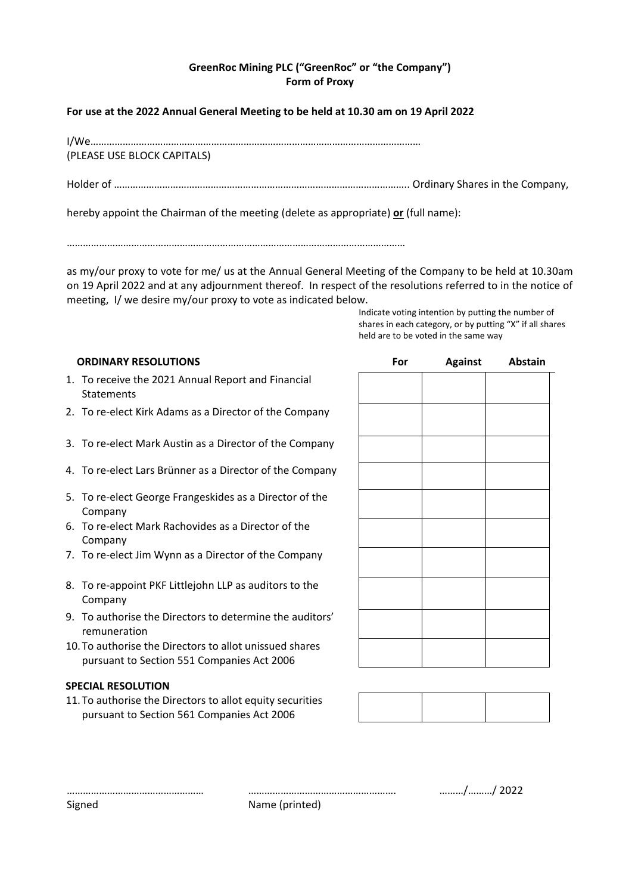# **GreenRoc Mining PLC ("GreenRoc" or "the Company") Form of Proxy**

## **For use at the 2022 Annual General Meeting to be held at 10.30 am on 19 April 2022**

I/We……………………………………………………………………………………………………………

(PLEASE USE BLOCK CAPITALS)

Holder of ……………………………………………………………………………………………….. Ordinary Shares in the Company,

hereby appoint the Chairman of the meeting (delete as appropriate) **or** (full name):

………………………………………………………………………………………………………………

as my/our proxy to vote for me/ us at the Annual General Meeting of the Company to be held at 10.30am on 19 April 2022 and at any adjournment thereof. In respect of the resolutions referred to in the notice of meeting, I/ we desire my/our proxy to vote as indicated below.

Indicate voting intention by putting the number of shares in each category, or by putting "X" if all shares held are to be voted in the same way

## **ORDINARY RESOLUTIONS**

- 1. To receive the 2021 Annual Report and Financial **Statements**
- 2. To re-elect Kirk Adams as a Director of the Company
- 3. To re-elect Mark Austin as a Director of the Company
- 4. To re-elect Lars Brünner as a Director of the Company
- 5. To re-elect George Frangeskides as a Director of the Company
- 6. To re-elect Mark Rachovides as a Director of the Company
- 7. To re-elect Jim Wynn as a Director of the Company
- 8. To re-appoint PKF Littlejohn LLP as auditors to the Company
- 9. To authorise the Directors to determine the auditors' remuneration
- 10.To authorise the Directors to allot unissued shares pursuant to Section 551 Companies Act 2006

#### **SPECIAL RESOLUTION**

11.To authorise the Directors to allot equity securities pursuant to Section 561 Companies Act 2006

| For | <b>Against</b> Abstain |
|-----|------------------------|
|     |                        |
|     |                        |
|     |                        |
|     |                        |
|     |                        |
|     |                        |
|     |                        |
|     |                        |
|     |                        |
|     |                        |
|     |                        |

Signed Name (printed)

…………………………………………… ………………………………………………. ………/………/ 2022